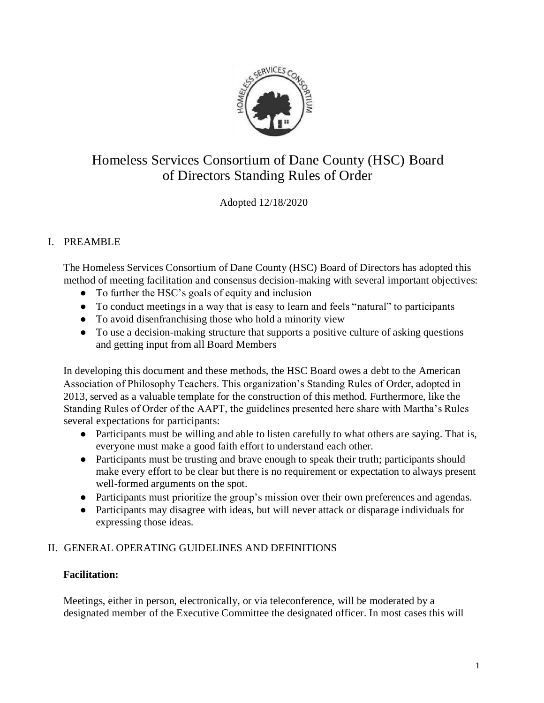

# Homeless Services Consortium of Dane County (HSC) Board of Directors Standing Rules of Order

Adopted 12/18/2020

# I. PREAMBLE

The Homeless Services Consortium of Dane County (HSC) Board of Directors has adopted this method of meeting facilitation and consensus decision-making with several important objectives:

- To further the HSC's goals of equity and inclusion
- To conduct meetings in a way that is easy to learn and feels "natural" to participants
- To avoid disenfranchising those who hold a minority view
- To use a decision-making structure that supports a positive culture of asking questions and getting input from all Board Members

In developing this document and these methods, the HSC Board owes a debt to the American Association of Philosophy Teachers. This organization's Standing Rules of Order, adopted in 2013, served as a valuable template for the construction of this method. Furthermore, like the Standing Rules of Order of the AAPT, the guidelines presented here share with Martha's Rules several expectations for participants:

- Participants must be willing and able to listen carefully to what others are saying. That is, everyone must make a good faith effort to understand each other.
- Participants must be trusting and brave enough to speak their truth; participants should make every effort to be clear but there is no requirement or expectation to always present well-formed arguments on the spot.
- Participants must prioritize the group's mission over their own preferences and agendas.
- Participants may disagree with ideas, but will never attack or disparage individuals for expressing those ideas.

## II. GENERAL OPERATING GUIDELINES AND DEFINITIONS

## **Facilitation:**

Meetings, either in person, electronically, or via teleconference, will be moderated by a designated member of the Executive Committee the designated officer. In most cases this will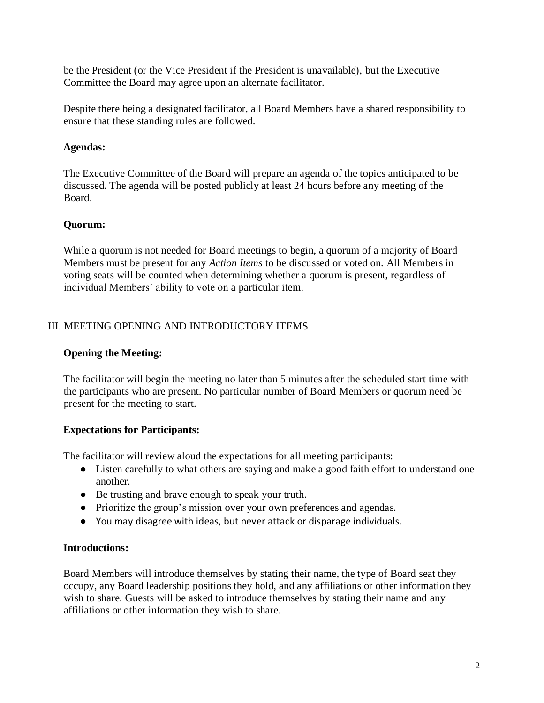be the President (or the Vice President if the President is unavailable), but the Executive Committee the Board may agree upon an alternate facilitator.

Despite there being a designated facilitator, all Board Members have a shared responsibility to ensure that these standing rules are followed.

## **Agendas:**

The Executive Committee of the Board will prepare an agenda of the topics anticipated to be discussed. The agenda will be posted publicly at least 24 hours before any meeting of the Board.

# **Quorum:**

While a quorum is not needed for Board meetings to begin, a quorum of a majority of Board Members must be present for any *Action Items* to be discussed or voted on. All Members in voting seats will be counted when determining whether a quorum is present, regardless of individual Members' ability to vote on a particular item.

# III. MEETING OPENING AND INTRODUCTORY ITEMS

## **Opening the Meeting:**

The facilitator will begin the meeting no later than 5 minutes after the scheduled start time with the participants who are present. No particular number of Board Members or quorum need be present for the meeting to start.

# **Expectations for Participants:**

The facilitator will review aloud the expectations for all meeting participants:

- Listen carefully to what others are saying and make a good faith effort to understand one another.
- Be trusting and brave enough to speak your truth.
- Prioritize the group's mission over your own preferences and agendas.
- You may disagree with ideas, but never attack or disparage individuals.

## **Introductions:**

Board Members will introduce themselves by stating their name, the type of Board seat they occupy, any Board leadership positions they hold, and any affiliations or other information they wish to share. Guests will be asked to introduce themselves by stating their name and any affiliations or other information they wish to share.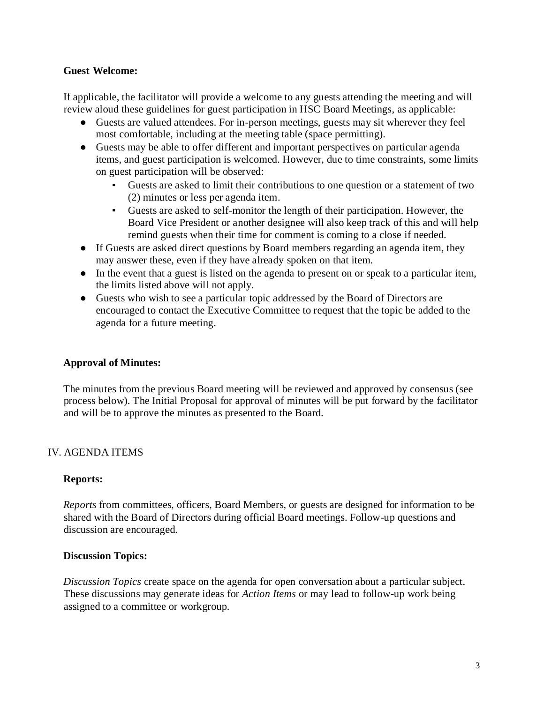#### **Guest Welcome:**

If applicable, the facilitator will provide a welcome to any guests attending the meeting and will review aloud these guidelines for guest participation in HSC Board Meetings, as applicable:

- Guests are valued attendees. For in-person meetings, guests may sit wherever they feel most comfortable, including at the meeting table (space permitting).
- Guests may be able to offer different and important perspectives on particular agenda items, and guest participation is welcomed. However, due to time constraints, some limits on guest participation will be observed:
	- Guests are asked to limit their contributions to one question or a statement of two (2) minutes or less per agenda item.
	- Guests are asked to self-monitor the length of their participation. However, the Board Vice President or another designee will also keep track of this and will help remind guests when their time for comment is coming to a close if needed.
- If Guests are asked direct questions by Board members regarding an agenda item, they may answer these, even if they have already spoken on that item.
- In the event that a guest is listed on the agenda to present on or speak to a particular item, the limits listed above will not apply.
- Guests who wish to see a particular topic addressed by the Board of Directors are encouraged to contact the Executive Committee to request that the topic be added to the agenda for a future meeting.

## **Approval of Minutes:**

The minutes from the previous Board meeting will be reviewed and approved by consensus (see process below). The Initial Proposal for approval of minutes will be put forward by the facilitator and will be to approve the minutes as presented to the Board.

# IV. AGENDA ITEMS

## **Reports:**

*Reports* from committees, officers, Board Members, or guests are designed for information to be shared with the Board of Directors during official Board meetings. Follow-up questions and discussion are encouraged.

## **Discussion Topics:**

*Discussion Topics* create space on the agenda for open conversation about a particular subject. These discussions may generate ideas for *Action Items* or may lead to follow-up work being assigned to a committee or workgroup.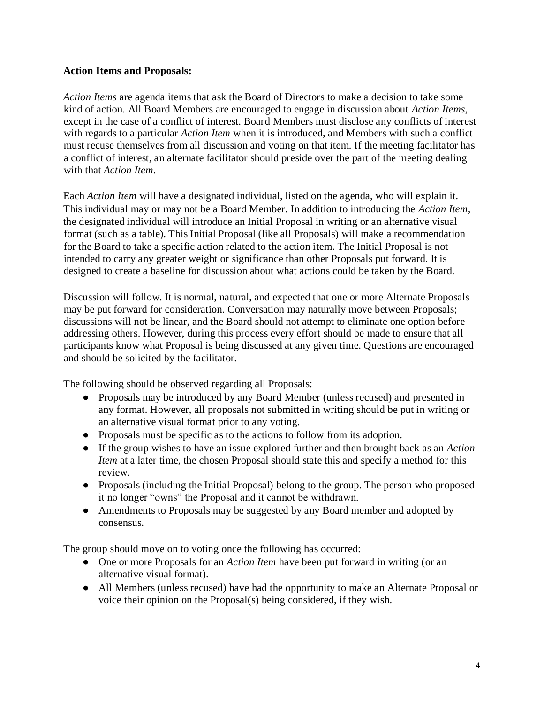#### **Action Items and Proposals:**

*Action Items* are agenda items that ask the Board of Directors to make a decision to take some kind of action. All Board Members are encouraged to engage in discussion about *Action Items*, except in the case of a conflict of interest. Board Members must disclose any conflicts of interest with regards to a particular *Action Item* when it is introduced, and Members with such a conflict must recuse themselves from all discussion and voting on that item. If the meeting facilitator has a conflict of interest, an alternate facilitator should preside over the part of the meeting dealing with that *Action Item*.

Each *Action Item* will have a designated individual, listed on the agenda, who will explain it*.* This individual may or may not be a Board Member. In addition to introducing the *Action Item,*  the designated individual will introduce an Initial Proposal in writing or an alternative visual format (such as a table). This Initial Proposal (like all Proposals) will make a recommendation for the Board to take a specific action related to the action item. The Initial Proposal is not intended to carry any greater weight or significance than other Proposals put forward. It is designed to create a baseline for discussion about what actions could be taken by the Board.

Discussion will follow. It is normal, natural, and expected that one or more Alternate Proposals may be put forward for consideration. Conversation may naturally move between Proposals; discussions will not be linear, and the Board should not attempt to eliminate one option before addressing others. However, during this process every effort should be made to ensure that all participants know what Proposal is being discussed at any given time. Questions are encouraged and should be solicited by the facilitator.

The following should be observed regarding all Proposals:

- Proposals may be introduced by any Board Member (unless recused) and presented in any format. However, all proposals not submitted in writing should be put in writing or an alternative visual format prior to any voting.
- Proposals must be specific as to the actions to follow from its adoption.
- If the group wishes to have an issue explored further and then brought back as an *Action Item* at a later time, the chosen Proposal should state this and specify a method for this review.
- Proposals (including the Initial Proposal) belong to the group. The person who proposed it no longer "owns" the Proposal and it cannot be withdrawn.
- Amendments to Proposals may be suggested by any Board member and adopted by consensus.

The group should move on to voting once the following has occurred:

- One or more Proposals for an *Action Item* have been put forward in writing (or an alternative visual format).
- All Members (unless recused) have had the opportunity to make an Alternate Proposal or voice their opinion on the Proposal(s) being considered, if they wish.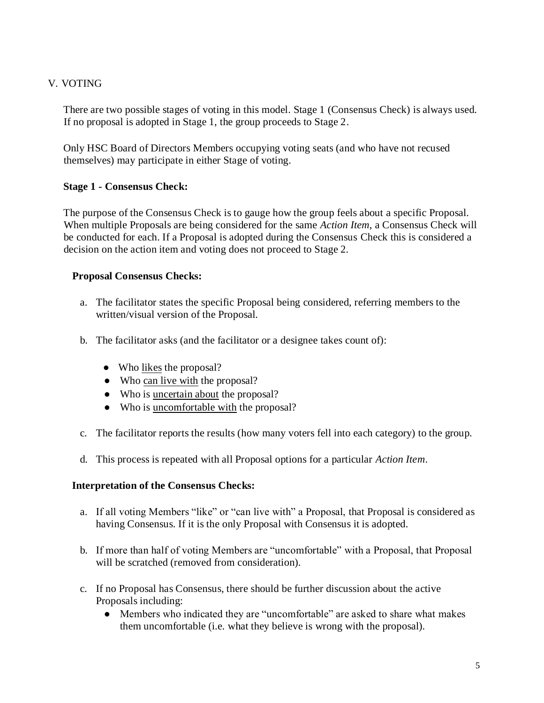## V. VOTING

There are two possible stages of voting in this model. Stage 1 (Consensus Check) is always used. If no proposal is adopted in Stage 1, the group proceeds to Stage 2.

Only HSC Board of Directors Members occupying voting seats (and who have not recused themselves) may participate in either Stage of voting.

## **Stage 1 - Consensus Check:**

The purpose of the Consensus Check is to gauge how the group feels about a specific Proposal. When multiple Proposals are being considered for the same *Action Item*, a Consensus Check will be conducted for each. If a Proposal is adopted during the Consensus Check this is considered a decision on the action item and voting does not proceed to Stage 2.

#### **Proposal Consensus Checks:**

- a. The facilitator states the specific Proposal being considered, referring members to the written/visual version of the Proposal.
- b. The facilitator asks (and the facilitator or a designee takes count of):
	- Who likes the proposal?
	- Who can live with the proposal?
	- Who is uncertain about the proposal?
	- Who is uncomfortable with the proposal?
- c. The facilitator reports the results (how many voters fell into each category) to the group.
- d. This process is repeated with all Proposal options for a particular *Action Item*.

#### **Interpretation of the Consensus Checks:**

- a. If all voting Members "like" or "can live with" a Proposal, that Proposal is considered as having Consensus. If it is the only Proposal with Consensus it is adopted.
- b. If more than half of voting Members are "uncomfortable" with a Proposal, that Proposal will be scratched (removed from consideration).
- c. If no Proposal has Consensus, there should be further discussion about the active Proposals including:
	- Members who indicated they are "uncomfortable" are asked to share what makes them uncomfortable (i.e. what they believe is wrong with the proposal).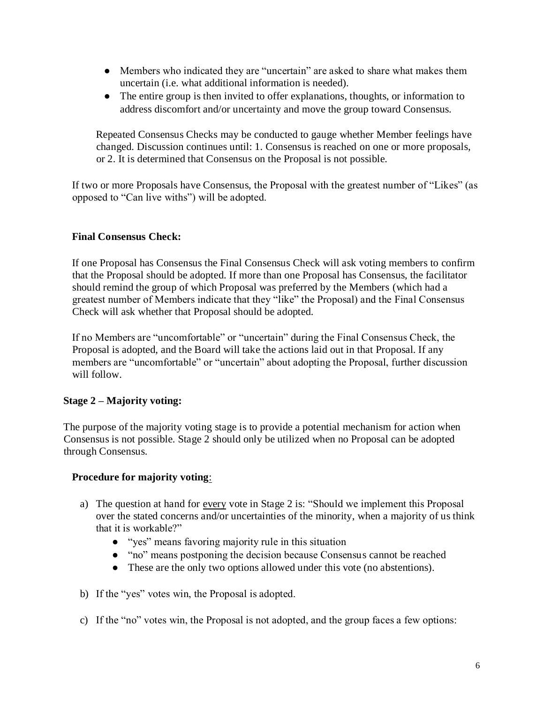- Members who indicated they are "uncertain" are asked to share what makes them uncertain (i.e. what additional information is needed).
- The entire group is then invited to offer explanations, thoughts, or information to address discomfort and/or uncertainty and move the group toward Consensus.

Repeated Consensus Checks may be conducted to gauge whether Member feelings have changed. Discussion continues until: 1. Consensus is reached on one or more proposals, or 2. It is determined that Consensus on the Proposal is not possible.

If two or more Proposals have Consensus, the Proposal with the greatest number of "Likes" (as opposed to "Can live withs") will be adopted.

# **Final Consensus Check:**

If one Proposal has Consensus the Final Consensus Check will ask voting members to confirm that the Proposal should be adopted. If more than one Proposal has Consensus, the facilitator should remind the group of which Proposal was preferred by the Members (which had a greatest number of Members indicate that they "like" the Proposal) and the Final Consensus Check will ask whether that Proposal should be adopted.

If no Members are "uncomfortable" or "uncertain" during the Final Consensus Check, the Proposal is adopted, and the Board will take the actions laid out in that Proposal. If any members are "uncomfortable" or "uncertain" about adopting the Proposal, further discussion will follow.

## **Stage 2 – Majority voting:**

The purpose of the majority voting stage is to provide a potential mechanism for action when Consensus is not possible. Stage 2 should only be utilized when no Proposal can be adopted through Consensus.

## **Procedure for majority voting**:

- a) The question at hand for every vote in Stage 2 is: "Should we implement this Proposal over the stated concerns and/or uncertainties of the minority, when a majority of us think that it is workable?"
	- "yes" means favoring majority rule in this situation
	- "no" means postponing the decision because Consensus cannot be reached
	- These are the only two options allowed under this vote (no abstentions).
- b) If the "yes" votes win, the Proposal is adopted.
- c) If the "no" votes win, the Proposal is not adopted, and the group faces a few options: